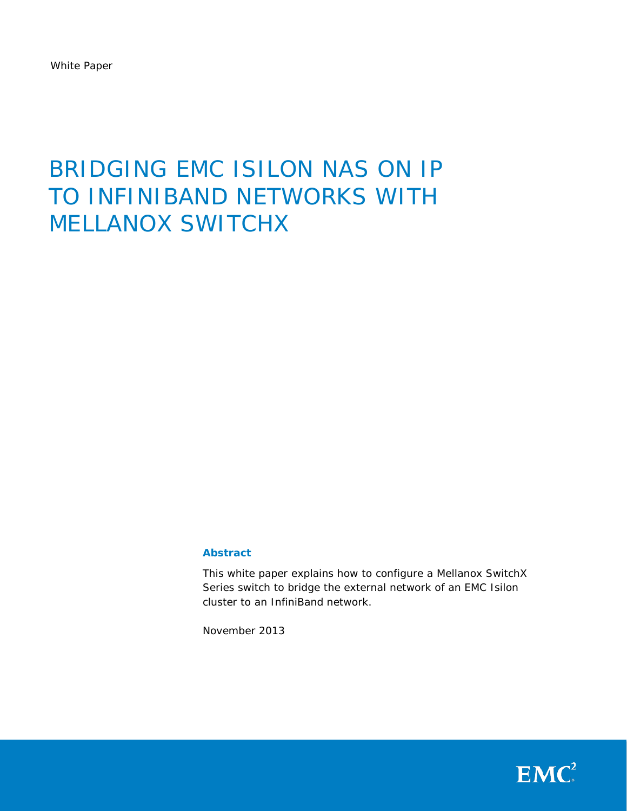White Paper

# BRIDGING EMC ISILON NAS ON IP TO INFINIBAND NETWORKS WITH MELLANOX SWITCHX

#### **Abstract**

This white paper explains how to configure a Mellanox SwitchX Series switch to bridge the external network of an EMC Isilon cluster to an InfiniBand network.

November 2013

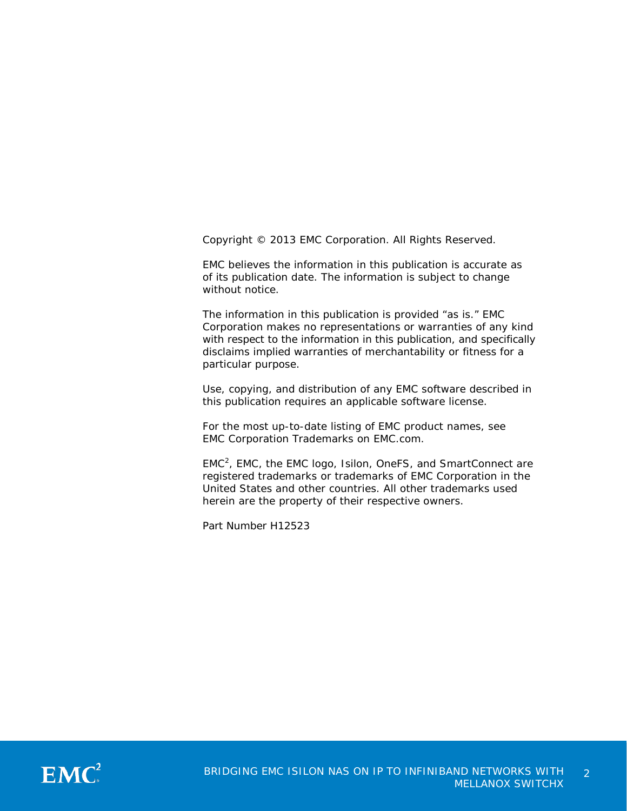Copyright © 2013 EMC Corporation. All Rights Reserved.

EMC believes the information in this publication is accurate as of its publication date. The information is subject to change without notice.

The information in this publication is provided "as is." EMC Corporation makes no representations or warranties of any kind with respect to the information in this publication, and specifically disclaims implied warranties of merchantability or fitness for a particular purpose.

Use, copying, and distribution of any EMC software described in this publication requires an applicable software license.

For the most up-to-date listing of EMC product names, see EMC Corporation Trademarks on EMC.com.

 $EMC<sup>2</sup>$ , EMC, the EMC logo, Isilon, OneFS, and SmartConnect are registered trademarks or trademarks of EMC Corporation in the United States and other countries. All other trademarks used herein are the property of their respective owners.

Part Number H12523

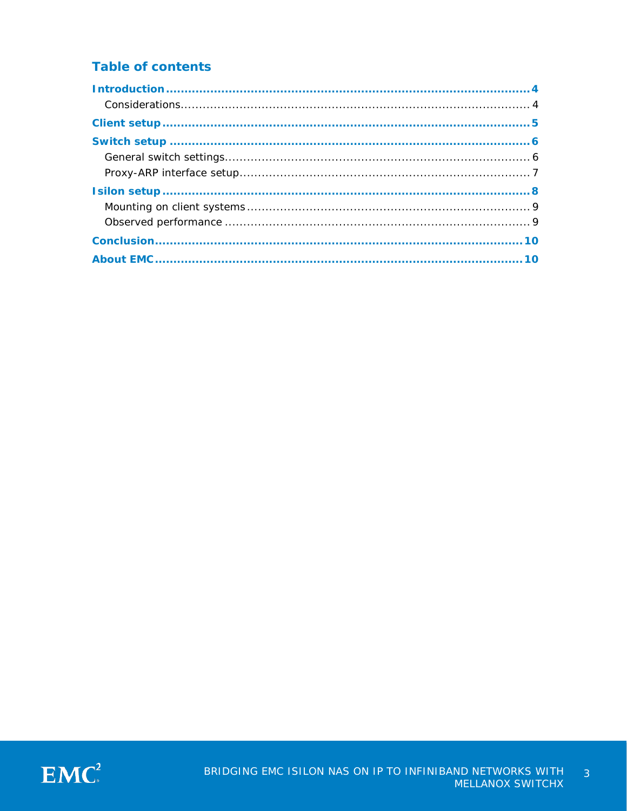## **Table of contents**

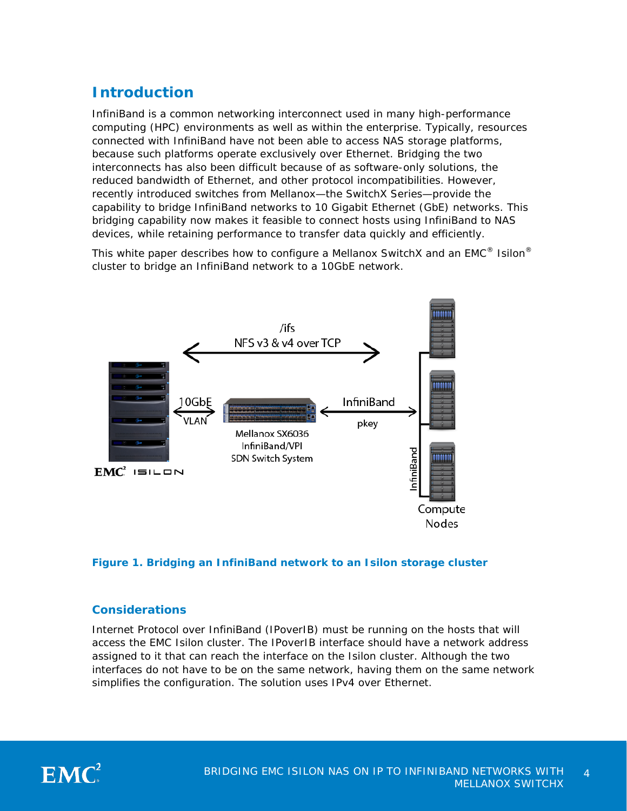## <span id="page-3-0"></span>**Introduction**

InfiniBand is a common networking interconnect used in many high-performance computing (HPC) environments as well as within the enterprise. Typically, resources connected with InfiniBand have not been able to access NAS storage platforms, because such platforms operate exclusively over Ethernet. Bridging the two interconnects has also been difficult because of as software-only solutions, the reduced bandwidth of Ethernet, and other protocol incompatibilities. However, recently introduced switches from Mellanox—the SwitchX Series—provide the capability to bridge InfiniBand networks to 10 Gigabit Ethernet (GbE) networks. This bridging capability now makes it feasible to connect hosts using InfiniBand to NAS devices, while retaining performance to transfer data quickly and efficiently.

This white paper describes how to configure a Mellanox SwitchX and an  $EMC^{\mathcal{D}}$  Isilon $^{\mathcal{D}}$ cluster to bridge an InfiniBand network to a 10GbE network.



#### **Figure 1. Bridging an InfiniBand network to an Isilon storage cluster**

#### <span id="page-3-1"></span>**Considerations**

Internet Protocol over InfiniBand (IPoverIB) must be running on the hosts that will access the EMC Isilon cluster. The IPoverIB interface should have a network address assigned to it that can reach the interface on the Isilon cluster. Although the two interfaces do not have to be on the same network, having them on the same network simplifies the configuration. The solution uses IPv4 over Ethernet.

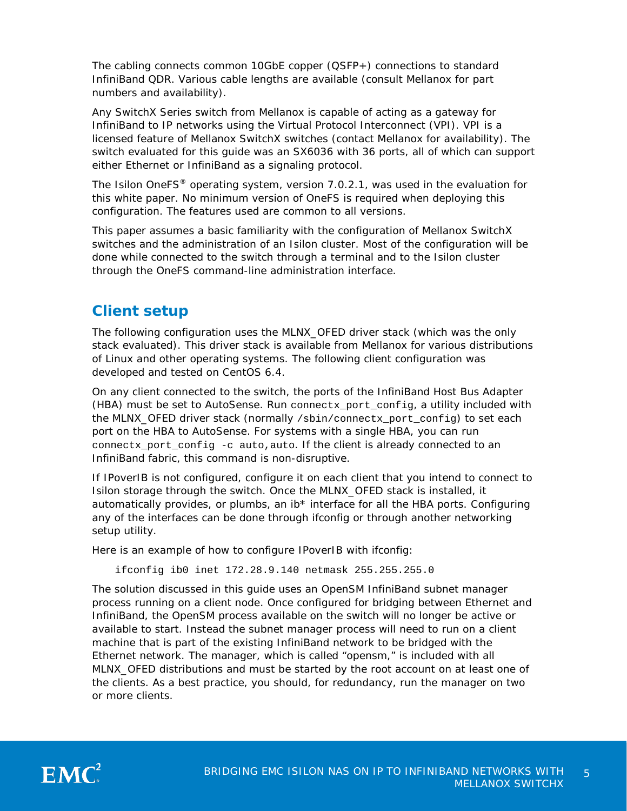The cabling connects common 10GbE copper (QSFP+) connections to standard InfiniBand QDR. Various cable lengths are available (consult Mellanox for part numbers and availability).

Any SwitchX Series switch from Mellanox is capable of acting as a gateway for InfiniBand to IP networks using the Virtual Protocol Interconnect (VPI). VPI is a licensed feature of Mellanox SwitchX switches (contact Mellanox for availability). The switch evaluated for this guide was an SX6036 with 36 ports, all of which can support either Ethernet or InfiniBand as a signaling protocol.

The Isilon OneFS® operating system, version 7.0.2.1, was used in the evaluation for this white paper. No minimum version of OneFS is required when deploying this configuration. The features used are common to all versions.

This paper assumes a basic familiarity with the configuration of Mellanox SwitchX switches and the administration of an Isilon cluster. Most of the configuration will be done while connected to the switch through a terminal and to the Isilon cluster through the OneFS command-line administration interface.

## <span id="page-4-0"></span>**Client setup**

The following configuration uses the MLNX\_OFED driver stack (which was the only stack evaluated). This driver stack is available from Mellanox for various distributions of Linux and other operating systems. The following client configuration was developed and tested on CentOS 6.4.

On any client connected to the switch, the ports of the InfiniBand Host Bus Adapter (HBA) must be set to AutoSense. Run connectx\_port\_config, a utility included with the MLNX\_OFED driver stack (normally /sbin/connectx\_port\_config) to set each port on the HBA to AutoSense. For systems with a single HBA, you can run connectx\_port\_config -c auto, auto. If the client is already connected to an InfiniBand fabric, this command is non-disruptive.

If IPoverIB is not configured, configure it on each client that you intend to connect to Isilon storage through the switch. Once the MLNX\_OFED stack is installed, it automatically provides, or plumbs, an  $ib*$  interface for all the HBA ports. Configuring any of the interfaces can be done through ifconfig or through another networking setup utility.

Here is an example of how to configure IPoverIB with ifconfig:

ifconfig ib0 inet 172.28.9.140 netmask 255.255.255.0

The solution discussed in this guide uses an OpenSM InfiniBand subnet manager process running on a client node. Once configured for bridging between Ethernet and InfiniBand, the OpenSM process available on the switch will no longer be active or available to start. Instead the subnet manager process will need to run on a client machine that is part of the existing InfiniBand network to be bridged with the Ethernet network. The manager, which is called "opensm," is included with all MLNX\_OFED distributions and must be started by the root account on at least one of the clients. As a best practice, you should, for redundancy, run the manager on two or more clients.

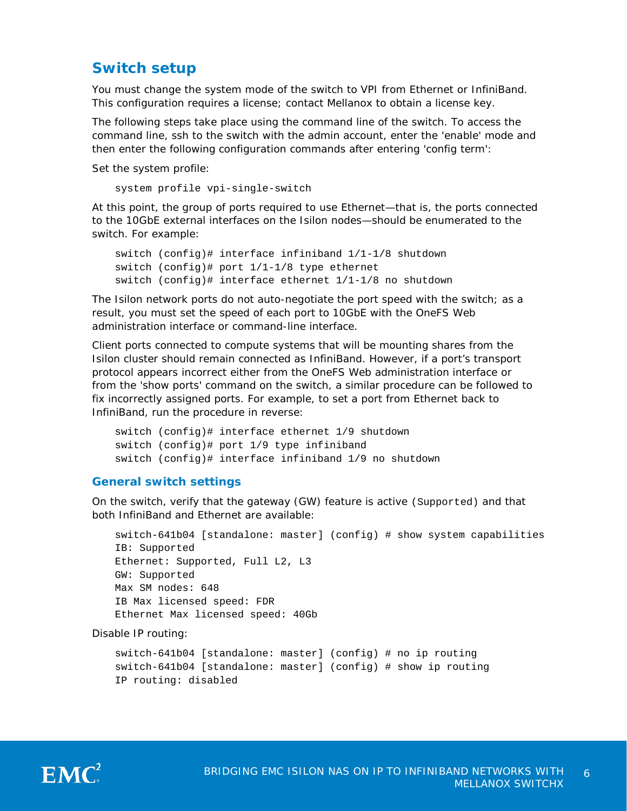## <span id="page-5-0"></span>**Switch setup**

You must change the system mode of the switch to VPI from Ethernet or InfiniBand. This configuration requires a license; contact Mellanox to obtain a license key.

The following steps take place using the command line of the switch. To access the command line, ssh to the switch with the admin account, enter the 'enable' mode and then enter the following configuration commands after entering 'config term':

Set the system profile:

system profile vpi-single-switch

At this point, the group of ports required to use Ethernet—that is, the ports connected to the 10GbE external interfaces on the Isilon nodes—should be enumerated to the switch. For example:

```
switch (config)# interface infiniband 1/1-1/8 shutdown 
switch (config)# port 1/1-1/8 type ethernet 
switch (config)# interface ethernet 1/1-1/8 no shutdown
```
The Isilon network ports do not auto-negotiate the port speed with the switch; as a result, you must set the speed of each port to 10GbE with the OneFS Web administration interface or command-line interface.

Client ports connected to compute systems that will be mounting shares from the Isilon cluster should remain connected as InfiniBand. However, if a port's transport protocol appears incorrect either from the OneFS Web administration interface or from the 'show ports' command on the switch, a similar procedure can be followed to fix incorrectly assigned ports. For example, to set a port from Ethernet back to InfiniBand, run the procedure in reverse:

```
switch (config)# interface ethernet 1/9 shutdown 
switch (config)# port 1/9 type infiniband 
switch (config)# interface infiniband 1/9 no shutdown
```
#### <span id="page-5-1"></span>**General switch settings**

On the switch, verify that the gateway (GW) feature is active (Supported) and that both InfiniBand and Ethernet are available:

```
switch-641b04 [standalone: master] (config) # show system capabilities
IB: Supported
Ethernet: Supported, Full L2, L3
GW: Supported
Max SM nodes: 648
IB Max licensed speed: FDR
Ethernet Max licensed speed: 40Gb
```
Disable IP routing:

```
switch-641b04 [standalone: master] (config) # no ip routing
switch-641b04 [standalone: master] (config) # show ip routing
IP routing: disabled
```
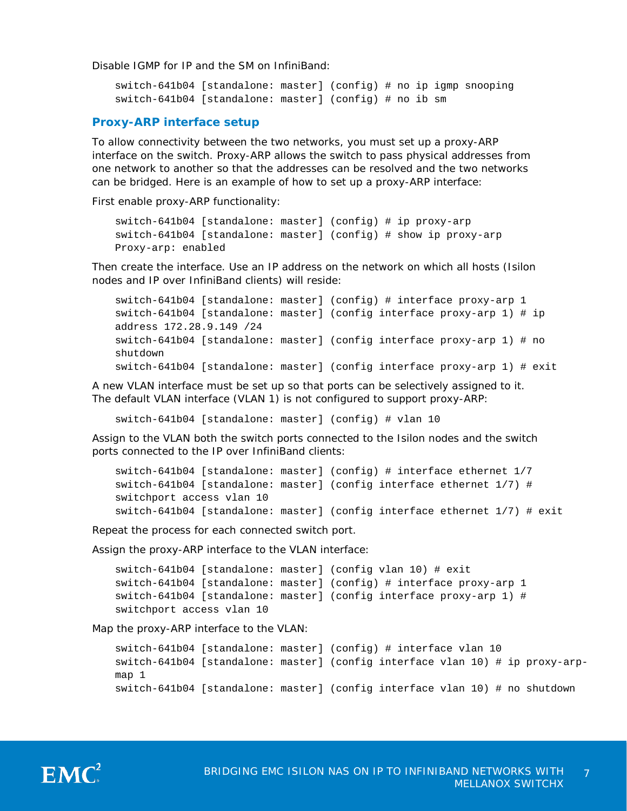Disable IGMP for IP and the SM on InfiniBand:

```
switch-641b04 [standalone: master] (config) # no ip igmp snooping
switch-641b04 [standalone: master] (config) # no ib sm
```
#### <span id="page-6-0"></span>**Proxy-ARP interface setup**

To allow connectivity between the two networks, you must set up a proxy-ARP interface on the switch. Proxy-ARP allows the switch to pass physical addresses from one network to another so that the addresses can be resolved and the two networks can be bridged. Here is an example of how to set up a proxy-ARP interface:

First enable proxy-ARP functionality:

```
switch-641b04 [standalone: master] (config) # ip proxy-arp
switch-641b04 [standalone: master] (config) # show ip proxy-arp
Proxy-arp: enabled
```
Then create the interface. Use an IP address on the network on which all hosts (Isilon nodes and IP over InfiniBand clients) will reside:

```
switch-641b04 [standalone: master] (config) # interface proxy-arp 1
switch-641b04 [standalone: master] (config interface proxy-arp 1) # ip 
address 172.28.9.149 /24
switch-641b04 [standalone: master] (config interface proxy-arp 1) # no 
shutdown
switch-641b04 [standalone: master] (config interface proxy-arp 1) # exit
```
A new VLAN interface must be set up so that ports can be selectively assigned to it. The default VLAN interface (VLAN 1) is not configured to support proxy-ARP:

switch-641b04 [standalone: master] (config) # vlan 10

Assign to the VLAN both the switch ports connected to the Isilon nodes and the switch ports connected to the IP over InfiniBand clients:

```
switch-641b04 [standalone: master] (config) # interface ethernet 1/7
switch-641b04 [standalone: master] (config interface ethernet 1/7) # 
switchport access vlan 10
switch-641b04 [standalone: master] (config interface ethernet 1/7) # exit
```
Repeat the process for each connected switch port.

Assign the proxy-ARP interface to the VLAN interface:

```
switch-641b04 [standalone: master] (config vlan 10) # exit
switch-641b04 [standalone: master] (config) # interface proxy-arp 1
switch-641b04 [standalone: master] (config interface proxy-arp 1) # 
switchport access vlan 10
```
Map the proxy-ARP interface to the VLAN:

```
switch-641b04 [standalone: master] (config) # interface vlan 10
switch-641b04 [standalone: master] (config interface vlan 10) # ip proxy-arp-
map 1
switch-641b04 [standalone: master] (config interface vlan 10) # no shutdown
```
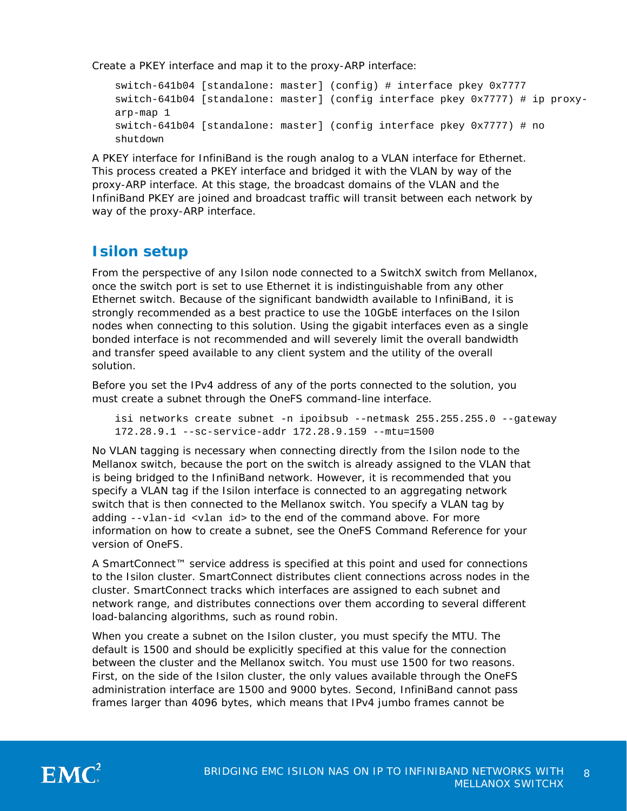Create a PKEY interface and map it to the proxy-ARP interface:

```
switch-641b04 [standalone: master] (config) # interface pkey 0x7777
switch-641b04 [standalone: master] (config interface pkey 0x7777) # ip proxy-
arp-map 1
switch-641b04 [standalone: master] (config interface pkey 0x7777) # no 
shutdown
```
A PKEY interface for InfiniBand is the rough analog to a VLAN interface for Ethernet. This process created a PKEY interface and bridged it with the VLAN by way of the proxy-ARP interface. At this stage, the broadcast domains of the VLAN and the InfiniBand PKEY are joined and broadcast traffic will transit between each network by way of the proxy-ARP interface.

### <span id="page-7-0"></span>**Isilon setup**

From the perspective of any Isilon node connected to a SwitchX switch from Mellanox, once the switch port is set to use Ethernet it is indistinguishable from any other Ethernet switch. Because of the significant bandwidth available to InfiniBand, it is strongly recommended as a best practice to use the 10GbE interfaces on the Isilon nodes when connecting to this solution. Using the gigabit interfaces even as a single bonded interface is not recommended and will severely limit the overall bandwidth and transfer speed available to any client system and the utility of the overall solution.

Before you set the IPv4 address of any of the ports connected to the solution, you must create a subnet through the OneFS command-line interface.

isi networks create subnet -n ipoibsub --netmask 255.255.255.0 --gateway 172.28.9.1 --sc-service-addr 172.28.9.159 --mtu=1500

No VLAN tagging is necessary when connecting directly from the Isilon node to the Mellanox switch, because the port on the switch is already assigned to the VLAN that is being bridged to the InfiniBand network. However, it is recommended that you specify a VLAN tag if the Isilon interface is connected to an aggregating network switch that is then connected to the Mellanox switch. You specify a VLAN tag by adding --vlan-id <vlan id> to the end of the command above. For more information on how to create a subnet, see the OneFS Command Reference for your version of OneFS.

A SmartConnect™ service address is specified at this point and used for connections to the Isilon cluster. SmartConnect distributes client connections across nodes in the cluster. SmartConnect tracks which interfaces are assigned to each subnet and network range, and distributes connections over them according to several different load-balancing algorithms, such as round robin.

When you create a subnet on the Isilon cluster, you must specify the MTU. The default is 1500 and should be explicitly specified at this value for the connection between the cluster and the Mellanox switch. You must use 1500 for two reasons. First, on the side of the Isilon cluster, the only values available through the OneFS administration interface are 1500 and 9000 bytes. Second, InfiniBand cannot pass frames larger than 4096 bytes, which means that IPv4 jumbo frames cannot be

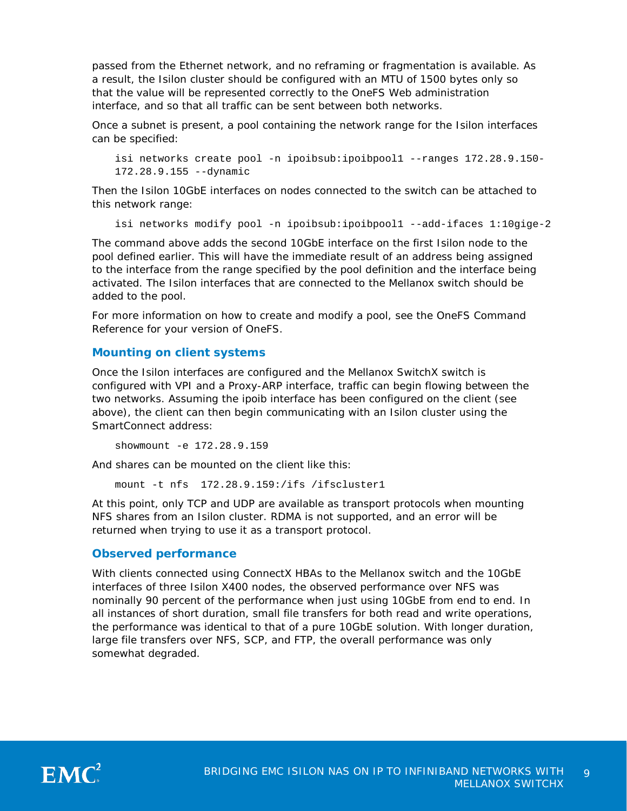passed from the Ethernet network, and no reframing or fragmentation is available. As a result, the Isilon cluster should be configured with an MTU of 1500 bytes only so that the value will be represented correctly to the OneFS Web administration interface, and so that all traffic can be sent between both networks.

Once a subnet is present, a pool containing the network range for the Isilon interfaces can be specified:

```
isi networks create pool -n ipoibsub:ipoibpool1 --ranges 172.28.9.150-
172.28.9.155 --dynamic
```
Then the Isilon 10GbE interfaces on nodes connected to the switch can be attached to this network range:

```
isi networks modify pool -n ipoibsub:ipoibpool1 --add-ifaces 1:10gige-2
```
The command above adds the second 10GbE interface on the first Isilon node to the pool defined earlier. This will have the immediate result of an address being assigned to the interface from the range specified by the pool definition and the interface being activated. The Isilon interfaces that are connected to the Mellanox switch should be added to the pool.

For more information on how to create and modify a pool, see the OneFS Command Reference for your version of OneFS.

#### <span id="page-8-0"></span>**Mounting on client systems**

Once the Isilon interfaces are configured and the Mellanox SwitchX switch is configured with VPI and a Proxy-ARP interface, traffic can begin flowing between the two networks. Assuming the ipoib interface has been configured on the client (see above), the client can then begin communicating with an Isilon cluster using the SmartConnect address:

showmount -e 172.28.9.159

And shares can be mounted on the client like this:

mount -t nfs 172.28.9.159:/ifs /ifscluster1

At this point, only TCP and UDP are available as transport protocols when mounting NFS shares from an Isilon cluster. RDMA is not supported, and an error will be returned when trying to use it as a transport protocol.

#### <span id="page-8-1"></span>**Observed performance**

With clients connected using ConnectX HBAs to the Mellanox switch and the 10GbE interfaces of three Isilon X400 nodes, the observed performance over NFS was nominally 90 percent of the performance when just using 10GbE from end to end. In all instances of short duration, small file transfers for both read and write operations, the performance was identical to that of a pure 10GbE solution. With longer duration, large file transfers over NFS, SCP, and FTP, the overall performance was only somewhat degraded.

<span id="page-8-2"></span>